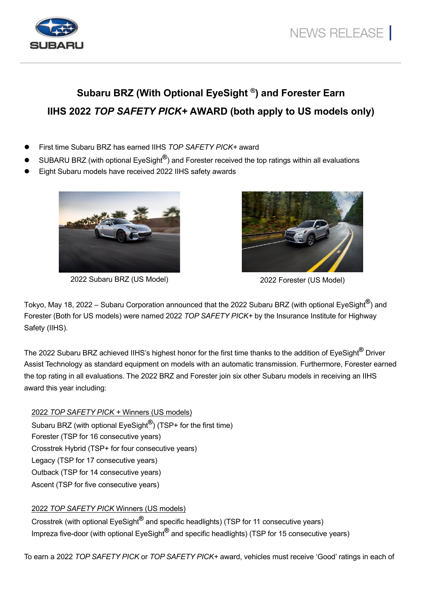

## **Subaru BRZ (With Optional EyeSight ®) and Forester Earn IIHS 2022** *TOP SAFETY PICK+* **AWARD (both apply to US models only)**

- First time Subaru BRZ has earned IIHS *TOP SAFETY PICK+* award
- SUBARU BRZ (with optional EyeSight**®**) and Forester received the top ratings within all evaluations
- Eight Subaru models have received 2022 IIHS safety awards



2022 Subaru BRZ (US Model) 2022 Forester (US Model)



Tokyo, May 18, 2022 – Subaru Corporation announced that the 2022 Subaru BRZ (with optional EyeSight**®**) and Forester (Both for US models) were named 2022 *TOP SAFETY PICK+* by the Insurance Institute for Highway Safety (IIHS).

The 2022 Subaru BRZ achieved IIHS's highest honor for the first time thanks to the addition of EyeSight**®** Driver Assist Technology as standard equipment on models with an automatic transmission. Furthermore, Forester earned the top rating in all evaluations. The 2022 BRZ and Forester join six other Subaru models in receiving an IIHS award this year including:

2022 *TOP SAFETY PICK +* Winners (US models) Subaru BRZ (with optional EyeSight**®**) (TSP+ for the first time) Forester (TSP for 16 consecutive years) Crosstrek Hybrid (TSP+ for four consecutive years) Legacy (TSP for 17 consecutive years) Outback (TSP for 14 consecutive years) Ascent (TSP for five consecutive years)

## 2022 *TOP SAFETY PICK* Winners (US models)

Crosstrek (with optional EyeSight**®** and specific headlights) (TSP for 11 consecutive years) Impreza five-door (with optional EyeSight**®** and specific headlights) (TSP for 15 consecutive years)

To earn a 2022 *TOP SAFETY PICK* or *TOP SAFETY PICK+* award, vehicles must receive 'Good' ratings in each of